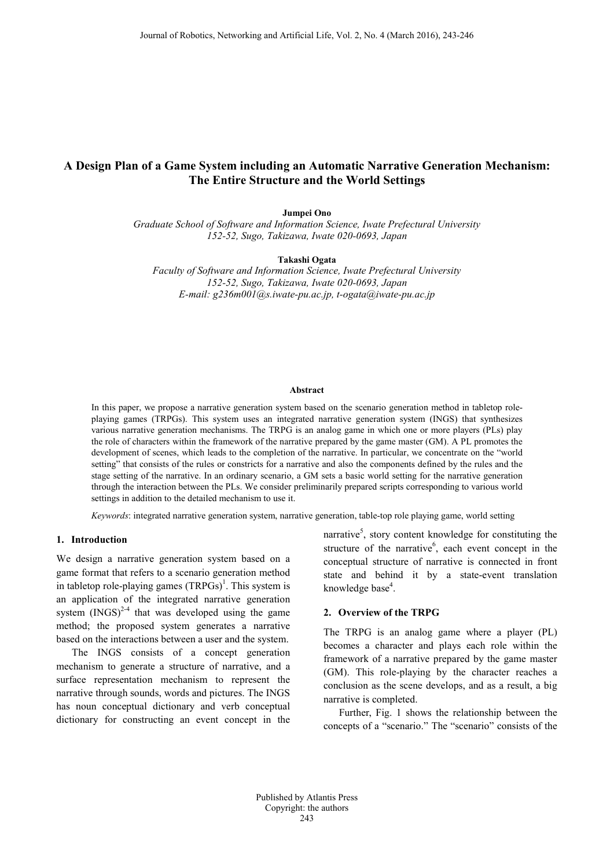# **A Design Plan of a Game System including an Automatic Narrative Generation Mechanism: The Entire Structure and the World Settings**

**Jumpei Ono**

*Graduate School of Software and Information Science, Iwate Prefectural University 152-52, Sugo, Takizawa, Iwate 020-0693, Japan*

**Takashi Ogata**

*Faculty of Software and Information Science, Iwate Prefectural University 152-52, Sugo, Takizawa, Iwate 020-0693, Japan E-mail: g236m001@s.iwate-pu.ac.jp, t-ogata@iwate-pu.ac.jp*

#### **Abstract**

In this paper, we propose a narrative generation system based on the scenario generation method in tabletop roleplaying games (TRPGs). This system uses an integrated narrative generation system (INGS) that synthesizes various narrative generation mechanisms. The TRPG is an analog game in which one or more players (PLs) play the role of characters within the framework of the narrative prepared by the game master (GM). A PL promotes the development of scenes, which leads to the completion of the narrative. In particular, we concentrate on the "world setting" that consists of the rules or constricts for a narrative and also the components defined by the rules and the stage setting of the narrative. In an ordinary scenario, a GM sets a basic world setting for the narrative generation through the interaction between the PLs. We consider preliminarily prepared scripts corresponding to various world settings in addition to the detailed mechanism to use it.

*Keywords*: integrated narrative generation system, narrative generation, table-top role playing game, world setting

### **1. Introduction**

We design a narrative generation system based on a game format that refers to a scenario generation method in tabletop role-playing games  $(TRPGs)^1$ . This system is an application of the integrated narrative generation system  $(INGS)^{2-4}$  that was developed using the game method; the proposed system generates a narrative based on the interactions between a user and the system.

The INGS consists of a concept generation mechanism to generate a structure of narrative, and a surface representation mechanism to represent the narrative through sounds, words and pictures. The INGS has noun conceptual dictionary and verb conceptual dictionary for constructing an event concept in the narrative<sup>5</sup>, story content knowledge for constituting the structure of the narrative<sup>6</sup>, each event concept in the conceptual structure of narrative is connected in front state and behind it by a state-event translation knowledge base<sup>4</sup>.

### **2. Overview of the TRPG**

The TRPG is an analog game where a player (PL) becomes a character and plays each role within the framework of a narrative prepared by the game master (GM). This role-playing by the character reaches a conclusion as the scene develops, and as a result, a big narrative is completed.

Further, Fig. 1 shows the relationship between the concepts of a "scenario." The "scenario" consists of the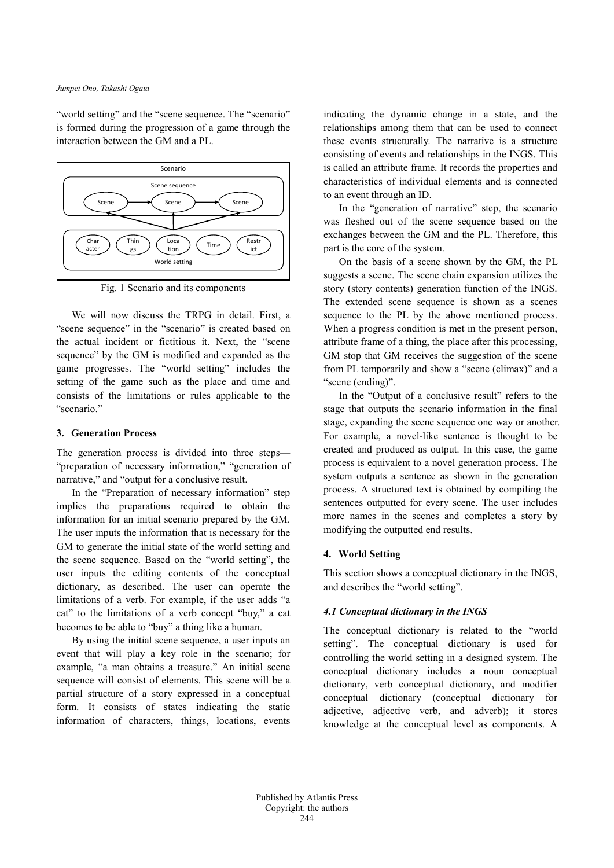"world setting" and the "scene sequence. The "scenario" is formed during the progression of a game through the interaction between the GM and a PL.



Fig. 1 Scenario and its components

We will now discuss the TRPG in detail. First, a "scene sequence" in the "scenario" is created based on the actual incident or fictitious it. Next, the "scene sequence" by the GM is modified and expanded as the game progresses. The "world setting" includes the setting of the game such as the place and time and consists of the limitations or rules applicable to the "scenario."

### **3. Generation Process**

The generation process is divided into three steps— "preparation of necessary information," "generation of narrative," and "output for a conclusive result.

In the "Preparation of necessary information" step implies the preparations required to obtain the information for an initial scenario prepared by the GM. The user inputs the information that is necessary for the GM to generate the initial state of the world setting and the scene sequence. Based on the "world setting", the user inputs the editing contents of the conceptual dictionary, as described. The user can operate the limitations of a verb. For example, if the user adds "a cat" to the limitations of a verb concept "buy," a cat becomes to be able to "buy" a thing like a human.

By using the initial scene sequence, a user inputs an event that will play a key role in the scenario; for example, "a man obtains a treasure." An initial scene sequence will consist of elements. This scene will be a partial structure of a story expressed in a conceptual form. It consists of states indicating the static information of characters, things, locations, events

indicating the dynamic change in a state, and the relationships among them that can be used to connect these events structurally. The narrative is a structure consisting of events and relationships in the INGS. This is called an attribute frame. It records the properties and characteristics of individual elements and is connected to an event through an ID.

In the "generation of narrative" step, the scenario was fleshed out of the scene sequence based on the exchanges between the GM and the PL. Therefore, this part is the core of the system.

On the basis of a scene shown by the GM, the PL suggests a scene. The scene chain expansion utilizes the story (story contents) generation function of the INGS. The extended scene sequence is shown as a scenes sequence to the PL by the above mentioned process. When a progress condition is met in the present person, attribute frame of a thing, the place after this processing, GM stop that GM receives the suggestion of the scene from PL temporarily and show a "scene (climax)" and a "scene (ending)".

In the "Output of a conclusive result" refers to the stage that outputs the scenario information in the final stage, expanding the scene sequence one way or another. For example, a novel-like sentence is thought to be created and produced as output. In this case, the game process is equivalent to a novel generation process. The system outputs a sentence as shown in the generation process. A structured text is obtained by compiling the sentences outputted for every scene. The user includes more names in the scenes and completes a story by modifying the outputted end results.

#### **4. World Setting**

This section shows a conceptual dictionary in the INGS, and describes the "world setting".

### *4.1 Conceptual dictionary in the INGS*

The conceptual dictionary is related to the "world setting". The conceptual dictionary is used for controlling the world setting in a designed system. The conceptual dictionary includes a noun conceptual dictionary, verb conceptual dictionary, and modifier conceptual dictionary (conceptual dictionary for adjective, adjective verb, and adverb); it stores knowledge at the conceptual level as components. A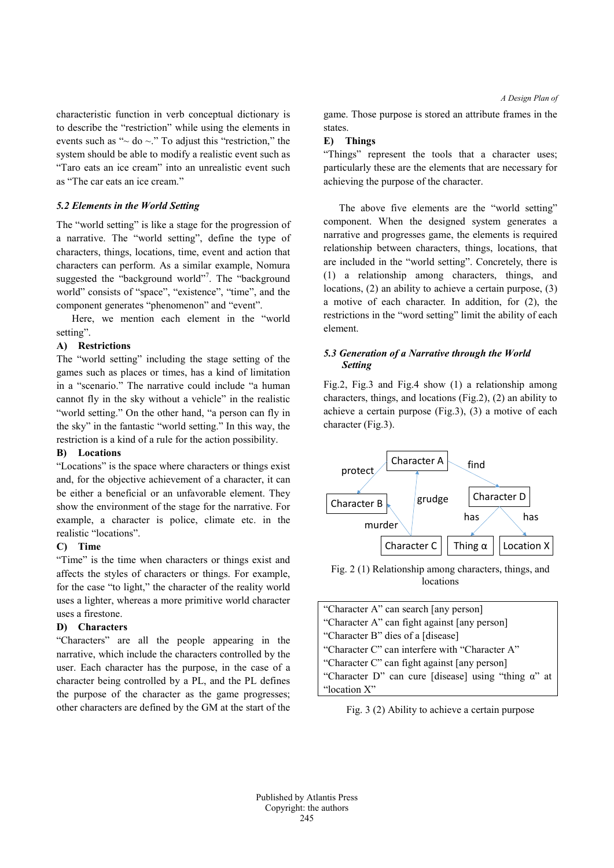*A Design Plan of*

characteristic function in verb conceptual dictionary is to describe the "restriction" while using the elements in events such as " $\sim$  do  $\sim$ ." To adjust this "restriction," the system should be able to modify a realistic event such as "Taro eats an ice cream" into an unrealistic event such as "The car eats an ice cream."

# *5.2 Elements in the World Setting*

The "world setting" is like a stage for the progression of a narrative. The "world setting", define the type of characters, things, locations, time, event and action that characters can perform. As a similar example, Nomura suggested the "background world"<sup>7</sup>. The "background world" consists of "space", "existence", "time", and the component generates "phenomenon" and "event".

Here, we mention each element in the "world setting".

# **A) Restrictions**

The "world setting" including the stage setting of the games such as places or times, has a kind of limitation in a "scenario." The narrative could include "a human cannot fly in the sky without a vehicle" in the realistic "world setting." On the other hand, "a person can fly in the sky" in the fantastic "world setting." In this way, the restriction is a kind of a rule for the action possibility.

### **B) Locations**

"Locations" is the space where characters or things exist and, for the objective achievement of a character, it can be either a beneficial or an unfavorable element. They show the environment of the stage for the narrative. For example, a character is police, climate etc. in the realistic "locations".

# **C) Time**

"Time" is the time when characters or things exist and affects the styles of characters or things. For example, for the case "to light," the character of the reality world uses a lighter, whereas a more primitive world character uses a firestone.

# **D) Characters**

"Characters" are all the people appearing in the narrative, which include the characters controlled by the user. Each character has the purpose, in the case of a character being controlled by a PL, and the PL defines the purpose of the character as the game progresses; other characters are defined by the GM at the start of the game. Those purpose is stored an attribute frames in the states.

### **E) Things**

"Things" represent the tools that a character uses; particularly these are the elements that are necessary for achieving the purpose of the character.

The above five elements are the "world setting" component. When the designed system generates a narrative and progresses game, the elements is required relationship between characters, things, locations, that are included in the "world setting". Concretely, there is (1) a relationship among characters, things, and locations, (2) an ability to achieve a certain purpose, (3) a motive of each character. In addition, for (2), the restrictions in the "word setting" limit the ability of each element.

# *5.3 Generation of a Narrative through the World Setting*

Fig.2, Fig.3 and Fig.4 show (1) a relationship among characters, things, and locations (Fig.2), (2) an ability to achieve a certain purpose (Fig.3), (3) a motive of each character (Fig.3).



Fig. 2 (1) Relationship among characters, things, and locations

| "Character A" can search [any person]                       |
|-------------------------------------------------------------|
| "Character A" can fight against [any person]                |
| "Character B" dies of a [disease]                           |
| "Character C" can interfere with "Character A"              |
| "Character C" can fight against [any person]                |
| "Character D" can cure [disease] using "thing $\alpha$ " at |
| "location X"                                                |
|                                                             |

Fig. 3 (2) Ability to achieve a certain purpose